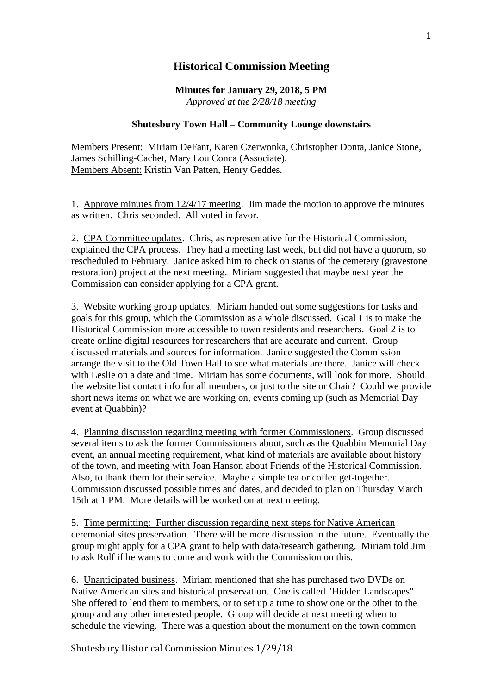## **Historical Commission Meeting**

**Minutes for January 29, 2018, 5 PM** *Approved at the 2/28/18 meeting*

## **Shutesbury Town Hall – Community Lounge downstairs**

Members Present: Miriam DeFant, Karen Czerwonka, Christopher Donta, Janice Stone, James Schilling-Cachet, Mary Lou Conca (Associate). Members Absent: Kristin Van Patten, Henry Geddes.

1. Approve minutes from 12/4/17 meeting. Jim made the motion to approve the minutes as written. Chris seconded. All voted in favor.

2. CPA Committee updates. Chris, as representative for the Historical Commission, explained the CPA process. They had a meeting last week, but did not have a quorum, so rescheduled to February. Janice asked him to check on status of the cemetery (gravestone restoration) project at the next meeting. Miriam suggested that maybe next year the Commission can consider applying for a CPA grant.

3. Website working group updates. Miriam handed out some suggestions for tasks and goals for this group, which the Commission as a whole discussed. Goal 1 is to make the Historical Commission more accessible to town residents and researchers. Goal 2 is to create online digital resources for researchers that are accurate and current. Group discussed materials and sources for information. Janice suggested the Commission arrange the visit to the Old Town Hall to see what materials are there. Janice will check with Leslie on a date and time. Miriam has some documents, will look for more. Should the website list contact info for all members, or just to the site or Chair? Could we provide short news items on what we are working on, events coming up (such as Memorial Day event at Quabbin)?

4. Planning discussion regarding meeting with former Commissioners. Group discussed several items to ask the former Commissioners about, such as the Quabbin Memorial Day event, an annual meeting requirement, what kind of materials are available about history of the town, and meeting with Joan Hanson about Friends of the Historical Commission. Also, to thank them for their service. Maybe a simple tea or coffee get-together. Commission discussed possible times and dates, and decided to plan on Thursday March 15th at 1 PM. More details will be worked on at next meeting.

5. Time permitting: Further discussion regarding next steps for Native American ceremonial sites preservation. There will be more discussion in the future. Eventually the group might apply for a CPA grant to help with data/research gathering. Miriam told Jim to ask Rolf if he wants to come and work with the Commission on this.

6. Unanticipated business. Miriam mentioned that she has purchased two DVDs on Native American sites and historical preservation. One is called "Hidden Landscapes". She offered to lend them to members, or to set up a time to show one or the other to the group and any other interested people. Group will decide at next meeting when to schedule the viewing. There was a question about the monument on the town common

Shutesbury Historical Commission Minutes 1/29/18